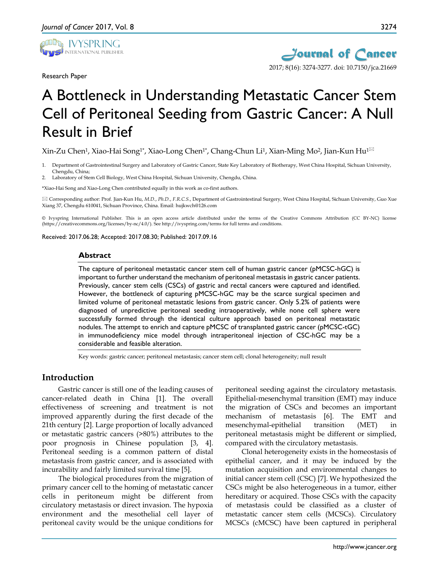

Research Paper



# A Bottleneck in Understanding Metastatic Cancer Stem Cell of Peritoneal Seeding from Gastric Cancer: A Null Result in Brief

Xin-Zu Chen<sup>1</sup>, Xiao-Hai Song<sup>1\*</sup>, Xiao-Long Chen<sup>1\*</sup>, Chang-Chun Li<sup>1</sup>, Xian-Ming Mo<sup>2</sup>, Jian-Kun Hu<sup>1⊠</sup>

- 1. Department of Gastrointestinal Surgery and Laboratory of Gastric Cancer, State Key Laboratory of Biotherapy, West China Hospital, Sichuan University, Chengdu, China;
- 2. Laboratory of Stem Cell Biology, West China Hospital, Sichuan University, Chengdu, China.

\*Xiao-Hai Song and Xiao-Long Chen contributed equally in this work as co-first authors.

 Corresponding author: Prof. Jian-Kun Hu, *M.D.*, *Ph.D.*, *F.R.C.S.*, Department of Gastrointestinal Surgery, West China Hospital, Sichuan University, Guo Xue Xiang 37, Chengdu 610041, Sichuan Province, China. Email: hujkwch@126.com

© Ivyspring International Publisher. This is an open access article distributed under the terms of the Creative Commons Attribution (CC BY-NC) license (https://creativecommons.org/licenses/by-nc/4.0/). See http://ivyspring.com/terms for full terms and conditions.

Received: 2017.06.28; Accepted: 2017.08.30; Published: 2017.09.16

#### **Abstract**

The capture of peritoneal metastatic cancer stem cell of human gastric cancer (pMCSC-hGC) is important to further understand the mechanism of peritoneal metastasis in gastric cancer patients. Previously, cancer stem cells (CSCs) of gastric and rectal cancers were captured and identified. However, the bottleneck of capturing pMCSC-hGC may be the scarce surgical specimen and limited volume of peritoneal metastatic lesions from gastric cancer. Only 5.2% of patients were diagnosed of unpredictive peritoneal seeding intraoperatively, while none cell sphere were successfully formed through the identical culture approach based on peritoneal metastatic nodules. The attempt to enrich and capture pMCSC of transplanted gastric cancer (pMCSC-tGC) in immunodeficiency mice model through intraperitoneal injection of CSC-hGC may be a considerable and feasible alteration.

Key words: gastric cancer; peritoneal metastasis; cancer stem cell; clonal heterogeneity; null result

# **Introduction**

Gastric cancer is still one of the leading causes of cancer-related death in China [1]. The overall effectiveness of screening and treatment is not improved apparently during the first decade of the 21th century [2]. Large proportion of locally advanced or metastatic gastric cancers (>80%) attributes to the poor prognosis in Chinese population [3, 4]. Peritoneal seeding is a common pattern of distal metastasis from gastric cancer, and is associated with incurability and fairly limited survival time [5].

The biological procedures from the migration of primary cancer cell to the homing of metastatic cancer cells in peritoneum might be different from circulatory metastasis or direct invasion. The hypoxia environment and the mesothelial cell layer of peritoneal cavity would be the unique conditions for

peritoneal seeding against the circulatory metastasis. Epithelial-mesenchymal transition (EMT) may induce the migration of CSCs and becomes an important mechanism of metastasis [6]. The EMT and mesenchymal-epithelial transition (MET) in peritoneal metastasis might be different or simplied, compared with the circulatory metastasis.

Clonal heterogeneity exists in the homeostasis of epithelial cancer, and it may be induced by the mutation acquisition and environmental changes to initial cancer stem cell (CSC) [7]. We hypothesized the CSCs might be also heterogeneous in a tumor, either hereditary or acquired. Those CSCs with the capacity of metastasis could be classified as a cluster of metastatic cancer stem cells (MCSCs). Circulatory MCSCs (cMCSC) have been captured in peripheral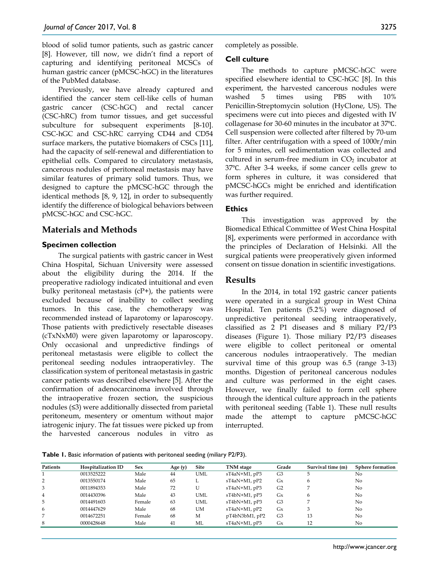blood of solid tumor patients, such as gastric cancer [8]. However, till now, we didn't find a report of capturing and identifying peritoneal MCSCs of human gastric cancer (pMCSC-hGC) in the literatures of the PubMed database.

Previously, we have already captured and identified the cancer stem cell-like cells of human gastric cancer (CSC-hGC) and rectal cancer (CSC-hRC) from tumor tissues, and get successful subculture for subsequent experiments [8-10]. CSC-hGC and CSC-hRC carrying CD44 and CD54 surface markers, the putative biomakers of CSCs [11], had the capacity of self-renewal and differentiation to epithelial cells. Compared to circulatory metastasis, cancerous nodules of peritoneal metastasis may have similar features of primary solid tumors. Thus, we designed to capture the pMCSC-hGC through the identical methods [8, 9, 12], in order to subsequently identify the difference of biological behaviors between pMCSC-hGC and CSC-hGC.

# **Materials and Methods**

# **Specimen collection**

The surgical patients with gastric cancer in West China Hospital, Sichuan University were assessed about the eligibility during the 2014. If the preoperative radiology indicated intuitional and even bulky peritoneal metastasis  $(CP+)$ , the patients were excluded because of inability to collect seeding tumors. In this case, the chemotherapy was recommended instead of laparotomy or laparoscopy. Those patients with predictively resectable diseases (cTxNxM0) were given laparotomy or laparoscopy. Only occasional and unpredictive findings of peritoneal metastasis were eligible to collect the peritoneal seeding nodules intraoperativley. The classification system of peritoneal metastasis in gastric cancer patients was described elsewhere [5]. After the confirmation of adenocarcinoma involved through the intraoperative frozen section, the suspicious nodules (≤3) were additionally dissected from parietal peritoneum, mesentery or omentum without major iatrogenic injury. The fat tissues were picked up from the harvested cancerous nodules in vitro as

completely as possible.

### **Cell culture**

The methods to capture pMCSC-hGC were specified elsewhere idential to CSC-hGC [8]. In this experiment, the harvested cancerous nodules were washed 5 times using PBS with 10% Penicillin-Streptomycin solution (HyClone, US). The specimens were cut into pieces and digested with IV collagenase for 30-60 minutes in the incubator at 37℃. Cell suspension were collected after filtered by 70-um filter. After centrifugation with a speed of 1000r/min for 5 minutes, cell sedimentation was collected and cultured in serum-free medium in  $CO<sub>2</sub>$  incubator at 37℃. After 3-4 weeks, if some cancer cells grew to form spheres in culture, it was considered that pMCSC-hGCs might be enriched and identification was further required.

## **Ethics**

This investigation was approved by the Biomedical Ethical Committee of West China Hospital [8], experiments were performed in accordance with the principles of Declaration of Helsinki. All the surgical patients were preoperatively given informed consent on tissue donation in scientific investigations.

# **Results**

In the 2014, in total 192 gastric cancer patients were operated in a surgical group in West China Hospital. Ten patients (5.2%) were diagnosed of unpredictive peritoneal seeding intraoperatively, classified as 2 P1 diseases and 8 miliary P2/P3 diseases (Figure 1). Those miliary P2/P3 diseases were eligible to collect peritoneal or omental cancerous nodules intraoperatively. The median survival time of this group was 6.5 (range 3-13) months. Digestion of peritoneal cancerous nodules and culture was performed in the eight cases. However, we finally failed to form cell sphere through the identical culture approach in the patients with peritoneal seeding (Table 1). These null results made the attempt to capture pMCSC-hGC interrupted.

**Table 1.** Basic information of patients with peritoneal seeding (miliary P2/P3).

| Patients       | Hospitalization ID | <b>Sex</b> | Age $(y)$ | Site       | TNM stage           | Grade          | Survival time (m) | <b>Sphere formation</b> |
|----------------|--------------------|------------|-----------|------------|---------------------|----------------|-------------------|-------------------------|
|                | 0013525222         | Male       | 44        | <b>UML</b> | $sT4aN+M1$ , $pP3$  | G <sub>3</sub> |                   | No                      |
| 2              | 0013550174         | Male       | 65        | ш.         | $sT4aN+M1$ , p $P2$ | Gx             | 6                 | No                      |
| 3              | 0011894353         | Male       | 72        | U          | $sT4aN+M1$ , $pP3$  | G <sub>2</sub> |                   | No                      |
| $\overline{4}$ | 0014430396         | Male       | 43        | <b>UML</b> | $sT4bN+M1$ , $pP3$  | Gx             | 6                 | N <sub>0</sub>          |
| 5              | 0014491603         | Female     | 63        | UML        | $sT4bN+M1$ , $pP3$  | G <sub>3</sub> |                   | N <sub>0</sub>          |
| 6              | 0014447629         | Male       | 68        | UM         | $sT4aN+M1$ , $pP2$  | Gx             |                   | No                      |
| 7              | 0014672251         | Female     | 68        | М          | $pT4bN3bM1$ , $pP2$ | G <sub>3</sub> | 13                | N <sub>0</sub>          |
| 8              | 0000428648         | Male       | 41        | МL         | $sT4aN+M1$ , $pP3$  | Gx             | 12                | No                      |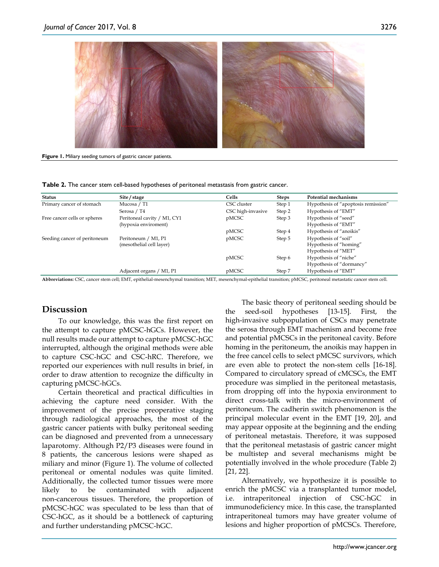

**Figure 1.** Miliary seeding tumors of gastric cancer patients.

**Table 2.** The cancer stem cell-based hypotheses of peritoneal metastasis from gastric cancer.

| <b>Status</b>                | Site / stage                                    | Cells             | <b>Steps</b> | Potential mechanisms                                                  |
|------------------------------|-------------------------------------------------|-------------------|--------------|-----------------------------------------------------------------------|
| Primary cancer of stomach    | Mucosa / T1                                     | CSC cluster       | Step 1       | Hypothesis of "apoptosis remission"                                   |
|                              | Serosa / T4                                     | CSC high-invasive | Step 2       | Hypothesis of "EMT"                                                   |
| Free cancer cells or spheres | Peritoneal cavity / M1, CY1                     | pMCSC             | Step 3       | Hypothesis of "seed"                                                  |
|                              | (hypoxia enviroment)                            |                   |              | Hypothesis of "EMT"                                                   |
|                              |                                                 | pMCSC             | Step 4       | Hypothesis of "anoikis"                                               |
| Seeding cancer of peritoneum | Peritoneum / M1, P1<br>(mesothelial cell layer) | pMCSC             | Step 5       | Hypothesis of "soil"<br>Hypothesis of "homing"<br>Hypothesis of "MET" |
|                              |                                                 | pMCSC             | Step 6       | Hypothesis of "niche"<br>Hypothesis of "dormancy"                     |
|                              | Adjacent organs / M1, P1                        | pMCSC             | Step 7       | Hypothesis of "EMT"                                                   |

**Abbreviations:** CSC, cancer stem cell; EMT, epithelial-mesenchymal transition; MET, mesenchymal-epithelial transition; pMCSC, peritoneal metastatic cancer stem cell.

# **Discussion**

To our knowledge, this was the first report on the attempt to capture pMCSC-hGCs. However, the null results made our attempt to capture pMCSC-hGC interrupted, although the original methods were able to capture CSC-hGC and CSC-hRC. Therefore, we reported our experiences with null results in brief, in order to draw attention to recognize the difficulty in capturing pMCSC-hGCs.

Certain theoretical and practical difficulties in achieving the capture need consider. With the improvement of the precise preoperative staging through radiological approaches, the most of the gastric cancer patients with bulky peritoneal seeding can be diagnosed and prevented from a unnecessary laparotomy. Although P2/P3 diseases were found in 8 patients, the cancerous lesions were shaped as miliary and minor (Figure 1). The volume of collected peritoneal or omental nodules was quite limited. Additionally, the collected tumor tissues were more likely to be contaminated with adjacent non-cancerous tissues. Therefore, the proportion of pMCSC-hGC was speculated to be less than that of CSC-hGC, as it should be a bottleneck of capturing and further understanding pMCSC-hGC.

The basic theory of peritoneal seeding should be the seed-soil hypotheses [13-15]. First, the high-invasive subpopulation of CSCs may penetrate the serosa through EMT machenism and become free and potential pMCSCs in the peritoneal cavity. Before homing in the peritoneum, the anoikis may happen in the free cancel cells to select pMCSC survivors, which are even able to protect the non-stem cells [16-18]. Compared to circulatory spread of cMCSCs, the EMT procedure was simplied in the peritoneal metastasis, from dropping off into the hypoxia environment to direct cross-talk with the micro-environment of peritoneum. The cadherin switch phenomenon is the principal molecular event in the EMT [19, 20], and may appear opposite at the beginning and the ending of peritoneal metastais. Therefore, it was supposed that the peritoneal metastasis of gastric cancer might be multistep and several mechanisms might be potentially involved in the whole procedure (Table 2) [21, 22].

Alternatively, we hypothesize it is possible to enrich the pMCSC via a transplanted tumor model, i.e. intraperitoneal injection of CSC-hGC in immunodeficiency mice. In this case, the transplanted intraperitoneal tumors may have greater volume of lesions and higher proportion of pMCSCs. Therefore,